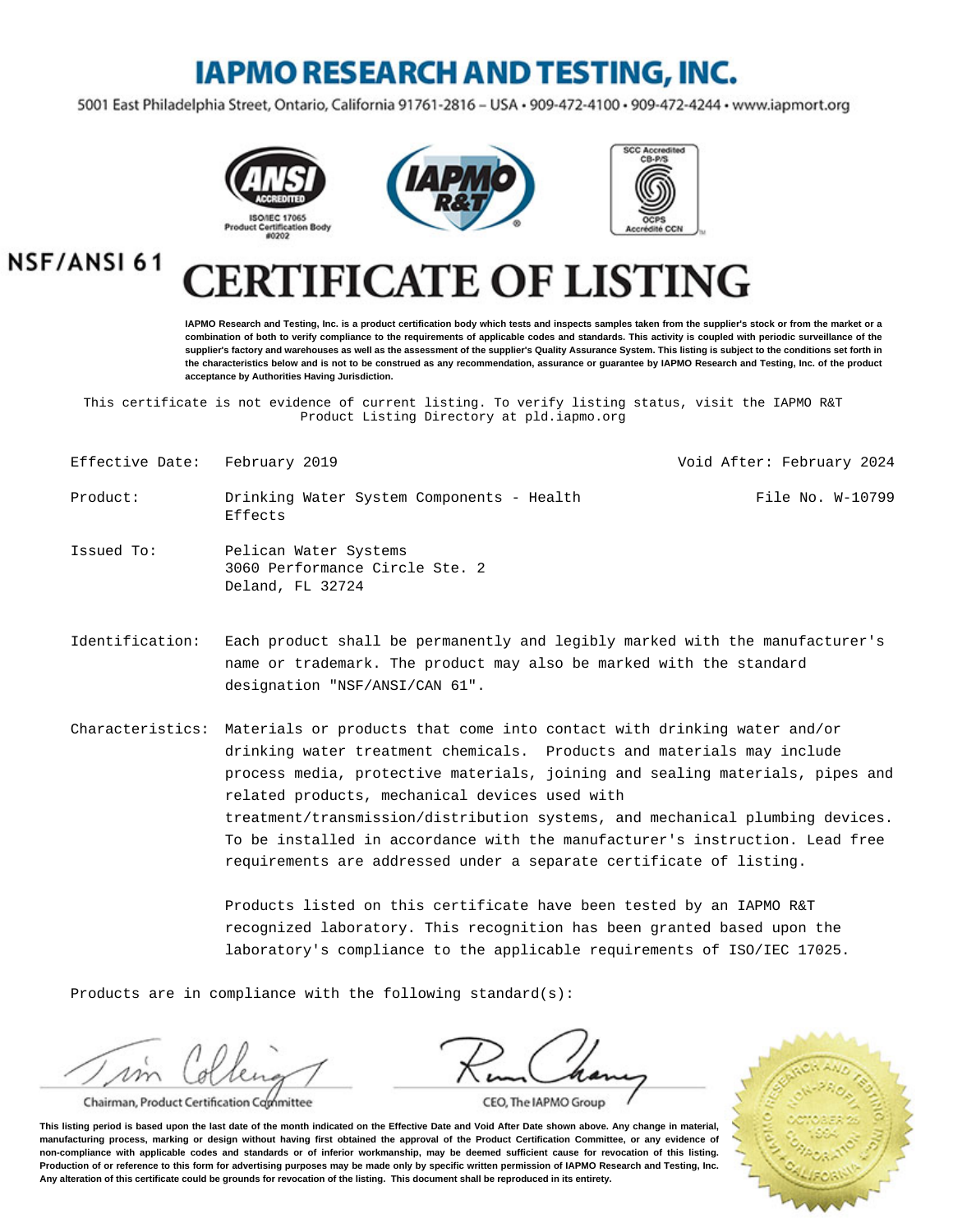## **IAPMO RESEARCH AND TESTING, INC.**

5001 East Philadelphia Street, Ontario, California 91761-2816 - USA · 909-472-4100 · 909-472-4244 · www.iapmort.org







**NSF/ANSI61** 

# **CATE OF LISTING**

**IAPMO Research and Testing, Inc. is a product certification body which tests and inspects samples taken from the supplier's stock or from the market or a combination of both to verify compliance to the requirements of applicable codes and standards. This activity is coupled with periodic surveillance of the supplier's factory and warehouses as well as the assessment of the supplier's Quality Assurance System. This listing is subject to the conditions set forth in the characteristics below and is not to be construed as any recommendation, assurance or guarantee by IAPMO Research and Testing, Inc. of the product acceptance by Authorities Having Jurisdiction.**

This certificate is not evidence of current listing. To verify listing status, visit the IAPMO R&T Product Listing Directory at pld.iapmo.org

- Effective Date: February 2019 Void After: February 2024
- Product: Drinking Water System Components Health Effects File No. W-10799
- Issued To: Pelican Water Systems 3060 Performance Circle Ste. 2 Deland, FL 32724
- Identification: Each product shall be permanently and legibly marked with the manufacturer's name or trademark. The product may also be marked with the standard designation "NSF/ANSI/CAN 61".

Characteristics: Materials or products that come into contact with drinking water and/or drinking water treatment chemicals. Products and materials may include process media, protective materials, joining and sealing materials, pipes and related products, mechanical devices used with treatment/transmission/distribution systems, and mechanical plumbing devices. To be installed in accordance with the manufacturer's instruction. Lead free requirements are addressed under a separate certificate of listing.

> Products listed on this certificate have been tested by an IAPMO R&T recognized laboratory. This recognition has been granted based upon the laboratory's compliance to the applicable requirements of ISO/IEC 17025.

Products are in compliance with the following standard(s):

Chairman, Product Certification Committee

CEO, The IAPMO Group

**This listing period is based upon the last date of the month indicated on the Effective Date and Void After Date shown above. Any change in material, manufacturing process, marking or design without having first obtained the approval of the Product Certification Committee, or any evidence of non-compliance with applicable codes and standards or of inferior workmanship, may be deemed sufficient cause for revocation of this listing. Production of or reference to this form for advertising purposes may be made only by specific written permission of IAPMO Research and Testing, Inc. Any alteration of this certificate could be grounds for revocation of the listing. This document shall be reproduced in its entirety.**

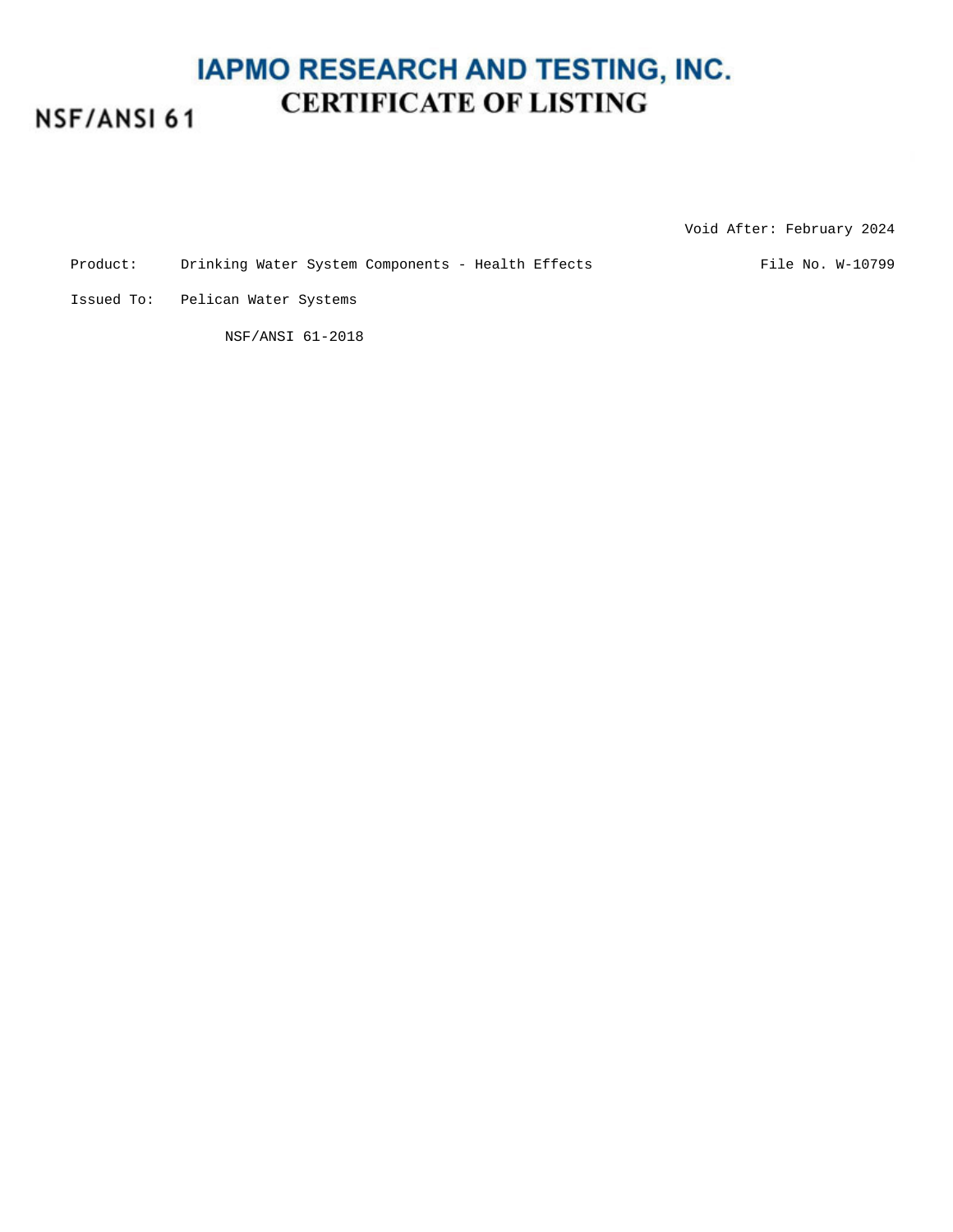#### **IAPMO RESEARCH AND TESTING, INC. CERTIFICATE OF LISTING** NSF/ANSI 61

Void After: February 2024

Product: Drinking Water System Components - Health Effects File No. W-10799

Issued To: Pelican Water Systems

NSF/ANSI 61-2018